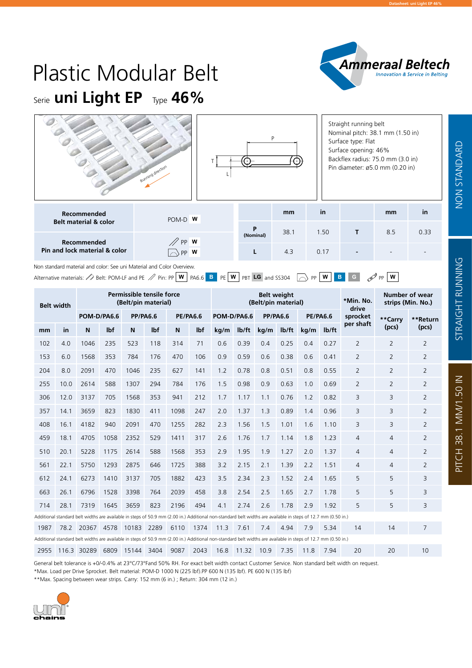**Datasheet: uni Light EP 46%**

Pitch 38.1 mm/1.50 in Standard

GHT  $\propto$ 

Z<br>SNNI

G

NON Standard

**NON STANDARD** 

STRAI

PITCH 38.1 MM/1.50 IN

# Serie **uni Light EP** Type 46% Plastic Modular Belt

|                                                     | Running direction |                | D    |      | Straight running belt<br>Surface type: Flat<br>Surface opening: 46% | Nominal pitch: 38.1 mm (1.50 in)<br>Backflex radius: 75.0 mm (3.0 in)<br>Pin diameter: ø5.0 mm (0.20 in) |      |
|-----------------------------------------------------|-------------------|----------------|------|------|---------------------------------------------------------------------|----------------------------------------------------------------------------------------------------------|------|
| <b>Recommended</b>                                  | POM-D W           |                | mm   | in   |                                                                     | mm                                                                                                       | in   |
| <b>Belt material &amp; color</b>                    |                   | P<br>(Nominal) | 38.1 | 1.50 | т                                                                   | 8.5                                                                                                      | 0.33 |
| <b>Recommended</b><br>Pin and lock material & color | PP W<br>W         |                | 4.3  | 0.17 |                                                                     |                                                                                                          |      |

Non standard material and color: See uni Material and Color Overview.

Alternative materials:  $\triangle$  Belt: POM-LF and PE  $\triangle$  Pin: PP **W** PA6.6 **B** PE **W** PBT **LG** and SS304  $\Box$  PP **W B** G  $\triangle$  PP **W** 

| <b>Belt width</b> |      |                                                                                                                                                               |            | Permissible tensile force<br>(Belt/pin material) |            |                 |            | <b>Belt weight</b><br>(Belt/pin material) |                    |                 |                    |                 |                    | *Min. No.<br>drive |                | Number of wear<br>strips (Min. No.) |  |
|-------------------|------|---------------------------------------------------------------------------------------------------------------------------------------------------------------|------------|--------------------------------------------------|------------|-----------------|------------|-------------------------------------------|--------------------|-----------------|--------------------|-----------------|--------------------|--------------------|----------------|-------------------------------------|--|
|                   |      | POM-D/PA6.6                                                                                                                                                   |            | <b>PP/PA6.6</b>                                  |            | <b>PE/PA6.6</b> |            | POM-D/PA6.6                               |                    | <b>PP/PA6.6</b> |                    | <b>PE/PA6.6</b> |                    | sprocket           | **Carry        | **Return                            |  |
| mm                | in   | N                                                                                                                                                             | <b>Ibf</b> | N                                                | <b>Ibf</b> | N               | lbf        | kg/m                                      | I <sub>b</sub> /ft | kg/m            | I <sub>b</sub> /ft | kg/m            | I <sub>b</sub> /ft | per shaft          | (pcs)          | (pcs)                               |  |
| 102               | 4.0  | 1046                                                                                                                                                          | 235        | 523                                              | 118        | 314             | 71         | 0.6                                       | 0.39               | 0.4             | 0.25               | 0.4             | 0.27               | 2                  | 2              | 2                                   |  |
| 153               | 6.0  | 1568                                                                                                                                                          | 353        | 784                                              | 176        | 470             | 106        | 0.9                                       | 0.59               | 0.6             | 0.38               | 0.6             | 0.41               | 2                  | $\overline{2}$ | $\overline{2}$                      |  |
| 204               | 8.0  | 2091                                                                                                                                                          | 470        | 1046                                             | 235        | 627             | 1.2<br>141 |                                           | 0.78               | 0.8             | 0.51               | 0.8             | 0.55               | 2                  | 2              | 2                                   |  |
| 255               | 10.0 | 2614                                                                                                                                                          | 588        | 1307                                             | 294        | 784             | 176<br>1.5 |                                           | 0.98               | 0.9             | 0.63               | 1.0             | 0.69               | $\overline{2}$     | $\overline{2}$ | 2                                   |  |
| 306               | 12.0 | 3137                                                                                                                                                          | 705        | 1568                                             | 353        | 941             | 212        |                                           | 1.17               | 1.1             | 0.76               | 1.2             | 0.82               | 3                  | 3              | 2                                   |  |
| 357               | 14.1 | 3659                                                                                                                                                          | 823        | 1830                                             | 411        | 1098            | 247        |                                           | 1.37               | 1.3             | 0.89               | 1.4             | 0.96               | 3                  | 3              | $\overline{2}$                      |  |
| 408               | 16.1 | 4182                                                                                                                                                          | 940        | 2091                                             | 470        | 1255            | 282        | 2.3                                       | 1.56               | 1.5             | 1.01               | 1.6             | 1.10               | 3                  | 3              | $\overline{2}$                      |  |
| 459               | 18.1 | 4705                                                                                                                                                          | 1058       | 2352                                             | 529        | 1411            | 317        | 2.6                                       | 1.76               | 1.7             | 1.14               | 1.8             | 1.23               | 4                  | $\overline{4}$ | $\overline{2}$                      |  |
| 510               | 20.1 | 5228                                                                                                                                                          | 1175       | 2614                                             | 588        | 1568            | 353        | 2.9                                       | 1.95               | 1.9             | 1.27               | 2.0             | 1.37               | 4                  | $\overline{4}$ | $\overline{2}$                      |  |
| 561               | 22.1 | 5750                                                                                                                                                          | 1293       | 2875                                             | 646        | 1725            | 388        | 3.2                                       | 2.15               | 2.1             | 1.39               | 2.2             | 1.51               | 4                  | $\overline{4}$ | $\overline{2}$                      |  |
| 612               | 24.1 | 6273                                                                                                                                                          | 1410       | 3137                                             | 705        | 1882            | 423        | 3.5                                       | 2.34               | 2.3             | 1.52               | 2.4             | 1.65               | 5                  | 5              | 3                                   |  |
| 663               | 26.1 | 6796                                                                                                                                                          | 1528       | 3398                                             | 764        | 2039            | 458        | 3.8                                       | 2.54               | 2.5             | 1.65               | 2.7             | 1.78               | 5                  | 5              | 3                                   |  |
| 714               | 28.1 | 7319                                                                                                                                                          | 1645       | 3659                                             | 823        | 2196            | 494        | 4.1                                       | 2.74               | 2.6             | 1.78               | 2.9             | 1.92               | 5                  | 5              | 3                                   |  |
|                   |      | Additional standard belt widths are available in steps of 50.9 mm (2.00 in.) Additional non-standard belt widths are available in steps of 12.7 mm (0.50 in.) |            |                                                  |            |                 |            |                                           |                    |                 |                    |                 |                    |                    |                |                                     |  |
| 1987              |      | 78.2 20367                                                                                                                                                    | 4578       | 10183                                            | 2289       | 6110            | 1374       | 11.3                                      | 7.61               | 7.4             | 4.94               | 7.9             | 5.34               | 14                 | 14             | 7                                   |  |
|                   |      | Additional standard belt widths are available in steps of 50.9 mm (2.00 in.) Additional non-standard belt widths are available in steps of 12.7 mm (0.50 in.) |            |                                                  |            |                 |            |                                           |                    |                 |                    |                 |                    |                    |                |                                     |  |
| 2955              |      | 116.3 30289                                                                                                                                                   | 6809       | 15144                                            | 3404       | 9087            | 2043       | 16.8                                      | 11.32              | 10.9            | 7.35               | 11.8            | 7.94               | 20                 | 20             | 10                                  |  |

General belt tolerance is +0/-0.4% at 23°C/73°Fand 50% RH. For exact belt width contact Customer Service. Non standard belt width on request. \*Max. Load per Drive Sprocket. Belt material: POM-D 1000 N (225 lbf).PP 600 N (135 lbf). PE 600 N (135 lbf)

\*\*Max. Spacing between wear strips. Carry: 152 mm (6 in.) ; Return: 304 mm (12 in.)

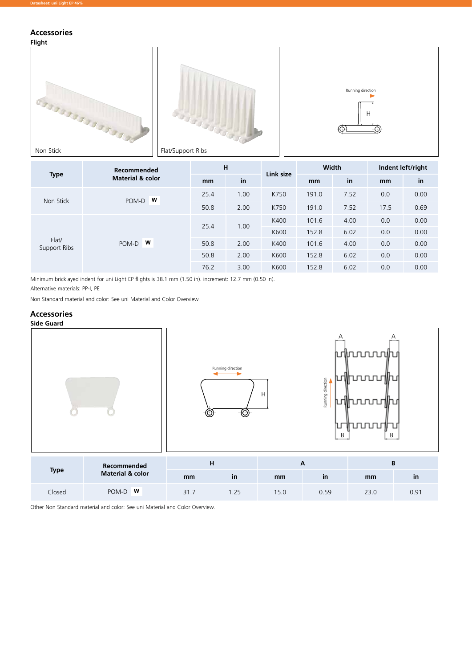## **Accessories**





| H<br>Recommended<br><b>Type</b><br><b>Material &amp; color</b><br>in<br>mm<br>25.4<br>1.00<br>W<br>POM-D<br>Non Stick | Link size  | Width |      | Indent left/right |       |      |      |      |
|-----------------------------------------------------------------------------------------------------------------------|------------|-------|------|-------------------|-------|------|------|------|
|                                                                                                                       |            |       |      |                   | mm    | in   | mm   | in   |
|                                                                                                                       |            |       |      | K750              | 191.0 | 7.52 | 0.0  | 0.00 |
|                                                                                                                       |            | 50.8  | 2.00 | K750              | 191.0 | 7.52 | 17.5 | 0.69 |
|                                                                                                                       |            |       | 1.00 | K400              | 101.6 | 4.00 | 0.0  | 0.00 |
|                                                                                                                       |            | 25.4  |      | K600              | 152.8 | 6.02 | 0.0  | 0.00 |
| Flat/<br>Support Ribs                                                                                                 | w<br>POM-D | 50.8  | 2.00 | K400              | 101.6 | 4.00 | 0.0  | 0.00 |
|                                                                                                                       |            | 50.8  | 2.00 | K600              | 152.8 | 6.02 | 0.0  | 0.00 |
|                                                                                                                       |            | 76.2  | 3.00 | K600              | 152.8 | 6.02 | 0.0  | 0.00 |

Minimum bricklayed indent for uni Light EP flights is 38.1 mm (1.50 in). increment: 12.7 mm (0.50 in).

Alternative materials: PP-I, PE

Non Standard material and color: See uni Material and Color Overview.

## **Accessories**



|             | Recommended                 |       | п   |      |      |      |            |  |  |
|-------------|-----------------------------|-------|-----|------|------|------|------------|--|--|
| <b>Type</b> | <b>Material &amp; color</b> | mm    | ın  | mm   | ın   | mm   | $\sqrt{1}$ |  |  |
| Closed      | <b>W</b><br>POM-D           | ، ۱ ب | .25 | 15.0 | 0.59 | 23.0 | 0.91       |  |  |

Other Non Standard material and color: See uni Material and Color Overview.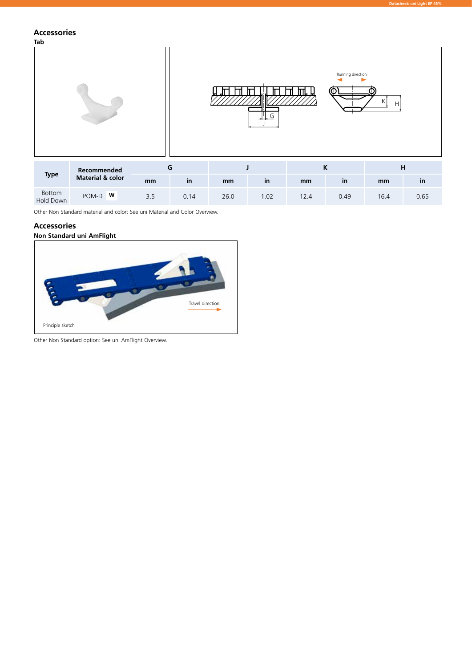## **Accessories**

**Tab**



**Datasheet: uni Light EP 46%**

|                     | Recommended                 |     |      |      |     |      |              |      | н    |
|---------------------|-----------------------------|-----|------|------|-----|------|--------------|------|------|
| <b>Type</b>         | <b>Material &amp; color</b> | mm  | in   | mm   | in  | mm   | $\mathsf{I}$ | mm   | ın   |
| Bottom<br>Hold Down | W<br>POM-D                  | 3.5 | 0.14 | 26.0 | .02 | 12.4 | 0.49         | 16.4 | 0.65 |

Other Non Standard material and color: See uni Material and Color Overview.

### **Accessories**

#### **Non Standard uni AmFlight**



Other Non Standard option: See uni AmFlight Overview.